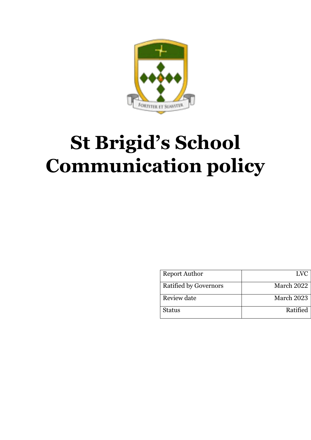

# **St Brigid's School Communication policy**

| <b>Report Author</b>         | <b>LVC</b> |
|------------------------------|------------|
| <b>Ratified by Governors</b> | March 2022 |
| Review date                  | March 2023 |
| <b>Status</b>                | Ratified   |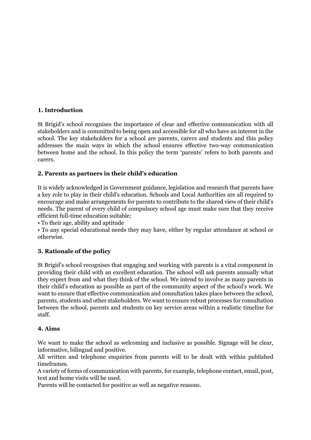# **1. Introduction**

St Brigid's school recognises the importance of clear and effective communication with all stakeholders and is committed to being open and accessible for all who have an interest in the school. The key stakeholders for a school are parents, carers and students and this policy addresses the main ways in which the school ensures effective two-way communication between home and the school. In this policy the term 'parents' refers to both parents and carers.

#### **2. Parents as partners in their child's education**

It is widely acknowledged in Government guidance, legislation and research that parents have a key role to play in their child's education. Schools and Local Authorities are all required to encourage and make arrangements for parents to contribute to the shared view of their child's needs. The parent of every child of compulsory school age must make sure that they receive efficient full-time education suitable;

• To their age, ability and aptitude

• To any special educational needs they may have, either by regular attendance at school or otherwise.

# **3. Rationale of the policy**

St Brigid's school recognises that engaging and working with parents is a vital component in providing their child with an excellent education. The school will ask parents annually what they expect from and what they think of the school. We intend to involve as many parents in their child's education as possible as part of the community aspect of the school's work. We want to ensure that effective communication and consultation takes place between the school, parents, students and other stakeholders. We want to ensure robust processes for consultation between the school, parents and students on key service areas within a realistic timeline for staff.

#### **4. Aims**

We want to make the school as welcoming and inclusive as possible. Signage will be clear, informative, bilingual and positive.

All written and telephone enquiries from parents will to be dealt with within published timeframes.

A variety of forms of communication with parents, for example, telephone contact, email, post, text and home visits will be used.

Parents will be contacted for positive as well as negative reasons.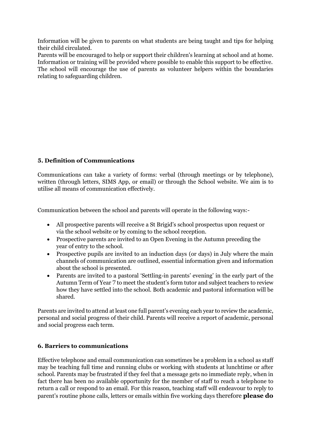Information will be given to parents on what students are being taught and tips for helping their child circulated.

Parents will be encouraged to help or support their children's learning at school and at home. Information or training will be provided where possible to enable this support to be effective. The school will encourage the use of parents as volunteer helpers within the boundaries relating to safeguarding children.

# **5. Definition of Communications**

Communications can take a variety of forms: verbal (through meetings or by telephone), written (through letters, SIMS App, or email) or through the School website. We aim is to utilise all means of communication effectively.

Communication between the school and parents will operate in the following ways:-

- All prospective parents will receive a St Brigid's school prospectus upon request or via the school website or by coming to the school reception.
- Prospective parents are invited to an Open Evening in the Autumn preceding the year of entry to the school.
- Prospective pupils are invited to an induction days (or days) in July where the main channels of communication are outlined, essential information given and information about the school is presented.
- Parents are invited to a pastoral 'Settling-in parents' evening' in the early part of the Autumn Term of Year 7 to meet the student's form tutor and subject teachers to review how they have settled into the school. Both academic and pastoral information will be shared.

Parents are invited to attend at least one full parent's evening each year to review the academic, personal and social progress of their child. Parents will receive a report of academic, personal and social progress each term.

# **6. Barriers to communications**

Effective telephone and email communication can sometimes be a problem in a school as staff may be teaching full time and running clubs or working with students at lunchtime or after school. Parents may be frustrated if they feel that a message gets no immediate reply, when in fact there has been no available opportunity for the member of staff to reach a telephone to return a call or respond to an email. For this reason, teaching staff will endeavour to reply to parent's routine phone calls, letters or emails within five working days therefore **please do**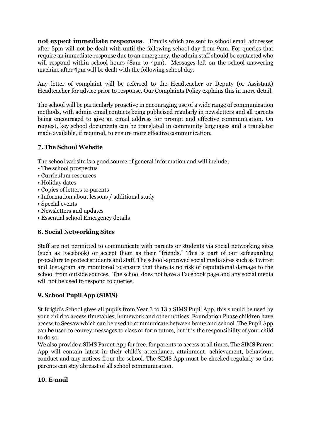**not expect immediate responses**. Emails which are sent to school email addresses after 5pm will not be dealt with until the following school day from 9am. For queries that require an immediate response due to an emergency, the admin staff should be contacted who will respond within school hours (8am to 4pm). Messages left on the school answering machine after 4pm will be dealt with the following school day.

Any letter of complaint will be referred to the Headteacher or Deputy (or Assistant) Headteacher for advice prior to response. Our Complaints Policy explains this in more detail.

The school will be particularly proactive in encouraging use of a wide range of communication methods, with admin email contacts being publicised regularly in newsletters and all parents being encouraged to give an email address for prompt and effective communication. On request, key school documents can be translated in community languages and a translator made available, if required, to ensure more effective communication.

# **7. The School Website**

The school website is a good source of general information and will include;

- The school prospectus
- Curriculum resources
- Holiday dates
- Copies of letters to parents
- Information about lessons / additional study
- Special events
- Newsletters and updates
- Essential school Emergency details

# **8. Social Networking Sites**

Staff are not permitted to communicate with parents or students via social networking sites (such as Facebook) or accept them as their "friends." This is part of our safeguarding procedure to protect students and staff. The school-approved social media sites such as Twitter and Instagram are monitored to ensure that there is no risk of reputational damage to the school from outside sources. The school does not have a Facebook page and any social media will not be used to respond to queries.

# **9. School Pupil App (SIMS)**

St Brigid's School gives all pupils from Year 3 to 13 a SIMS Pupil App, this should be used by your child to access timetables, homework and other notices. Foundation Phase children have access to Seesaw which can be used to communicate between home and school. The Pupil App can be used to convey messages to class or form tutors, but it is the responsibility of your child to do so.

We also provide a SIMS Parent App for free, for parents to access at all times. The SIMS Parent App will contain latest in their child's attendance, attainment, achievement, behaviour, conduct and any notices from the school. The SIMS App must be checked regularly so that parents can stay abreast of all school communication.

# **10. E-mail**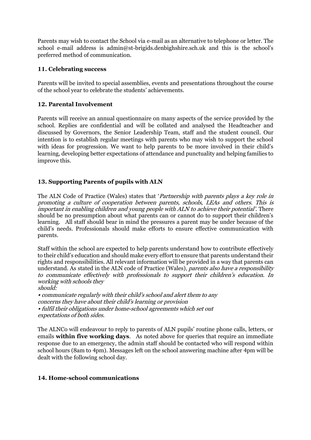Parents may wish to contact the School via e-mail as an alternative to telephone or letter. The school e-mail address is admin@st-brigids.denbighshire.sch.uk and this is the school's preferred method of communication.

# **11. Celebrating success**

Parents will be invited to special assemblies, events and presentations throughout the course of the school year to celebrate the students' achievements.

#### **12. Parental Involvement**

Parents will receive an annual questionnaire on many aspects of the service provided by the school. Replies are confidential and will be collated and analysed the Headteacher and discussed by Governors, the Senior Leadership Team, staff and the student council. Our intention is to establish regular meetings with parents who may wish to support the school with ideas for progression. We want to help parents to be more involved in their child's learning, developing better expectations of attendance and punctuality and helping families to improve this.

# **13. Supporting Parents of pupils with ALN**

The ALN Code of Practice (Wales) states that 'Partnership with parents plays a key role in promoting a culture of cooperation between parents, schools, LEAs and others. This is important in enabling children and young people with ALN to achieve their potential'. There should be no presumption about what parents can or cannot do to support their children's learning. All staff should bear in mind the pressures a parent may be under because of the child's needs. Professionals should make efforts to ensure effective communication with parents.

Staff within the school are expected to help parents understand how to contribute effectively to their child's education and should make every effort to ensure that parents understand their rights and responsibilities. All relevant information will be provided in a way that parents can understand. As stated in the ALN code of Practice (Wales), parents also have a responsibility to communicate effectively with professionals to support their children's education. In working with schools they

should: • communicate regularly with their child's school and alert them to any concerns they have about their child's learning or provision • fulfil their obligations under home-school agreements which set out expectations of both sides.

The ALNCo will endeavour to reply to parents of ALN pupils' routine phone calls, letters, or emails **within five working days**. As noted above for queries that require an immediate response due to an emergency, the admin staff should be contacted who will respond within school hours (8am to 4pm). Messages left on the school answering machine after 4pm will be dealt with the following school day.

#### **14. Home-school communications**